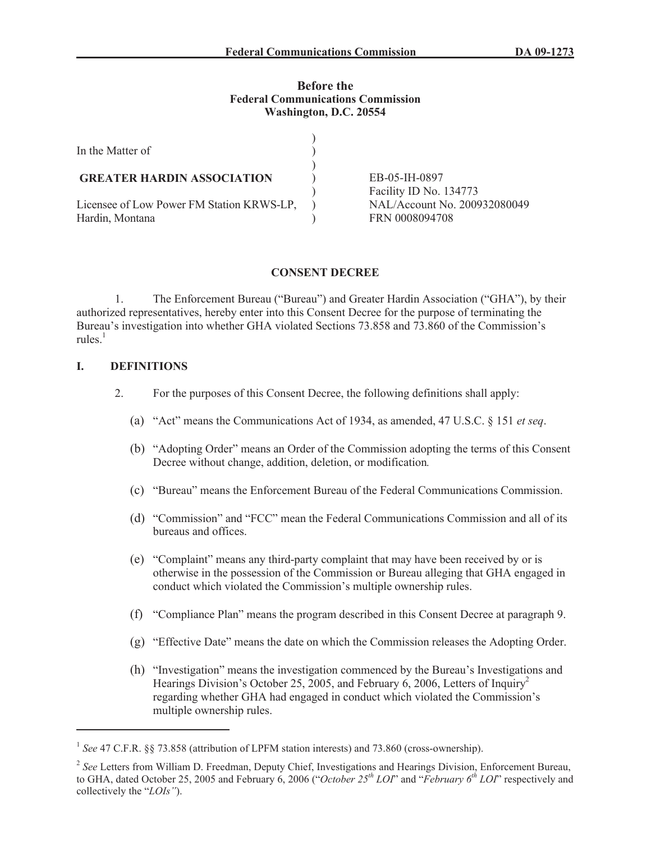#### **Before the Federal Communications Commission Washington, D.C. 20554**

| In the Matter of                                             |                                                |
|--------------------------------------------------------------|------------------------------------------------|
| <b>GREATER HARDIN ASSOCIATION</b>                            | EB-05-IH-0897                                  |
|                                                              | Facility ID No. 134773                         |
| Licensee of Low Power FM Station KRWS-LP,<br>Hardin, Montana | NAL/Account No. 200932080049<br>FRN 0008094708 |

# **CONSENT DECREE**

1. The Enforcement Bureau ("Bureau") and Greater Hardin Association ("GHA"), by their authorized representatives, hereby enter into this Consent Decree for the purpose of terminating the Bureau's investigation into whether GHA violated Sections 73.858 and 73.860 of the Commission's rules. $1$ 

# **I. DEFINITIONS**

- 2. For the purposes of this Consent Decree, the following definitions shall apply:
	- (a) "Act" means the Communications Act of 1934, as amended, 47 U.S.C. § 151 *et seq*.
	- (b) "Adopting Order" means an Order of the Commission adopting the terms of this Consent Decree without change, addition, deletion, or modification*.*
	- (c) "Bureau" means the Enforcement Bureau of the Federal Communications Commission.
	- (d) "Commission" and "FCC" mean the Federal Communications Commission and all of its bureaus and offices.
	- (e) "Complaint" means any third-party complaint that may have been received by or is otherwise in the possession of the Commission or Bureau alleging that GHA engaged in conduct which violated the Commission's multiple ownership rules.
	- (f) "Compliance Plan" means the program described in this Consent Decree at paragraph 9.
	- (g) "Effective Date" means the date on which the Commission releases the Adopting Order.
	- (h) "Investigation" means the investigation commenced by the Bureau's Investigations and Hearings Division's October 25, 2005, and February 6, 2006, Letters of Inquiry<sup>2</sup> regarding whether GHA had engaged in conduct which violated the Commission's multiple ownership rules.

<sup>&</sup>lt;sup>1</sup> See 47 C.F.R. §§ 73.858 (attribution of LPFM station interests) and 73.860 (cross-ownership).

<sup>&</sup>lt;sup>2</sup> See Letters from William D. Freedman, Deputy Chief, Investigations and Hearings Division, Enforcement Bureau, to GHA, dated October 25, 2005 and February 6, 2006 ("*October 25th LOI*" and "*February 6th LOI*" respectively and collectively the "*LOIs"*).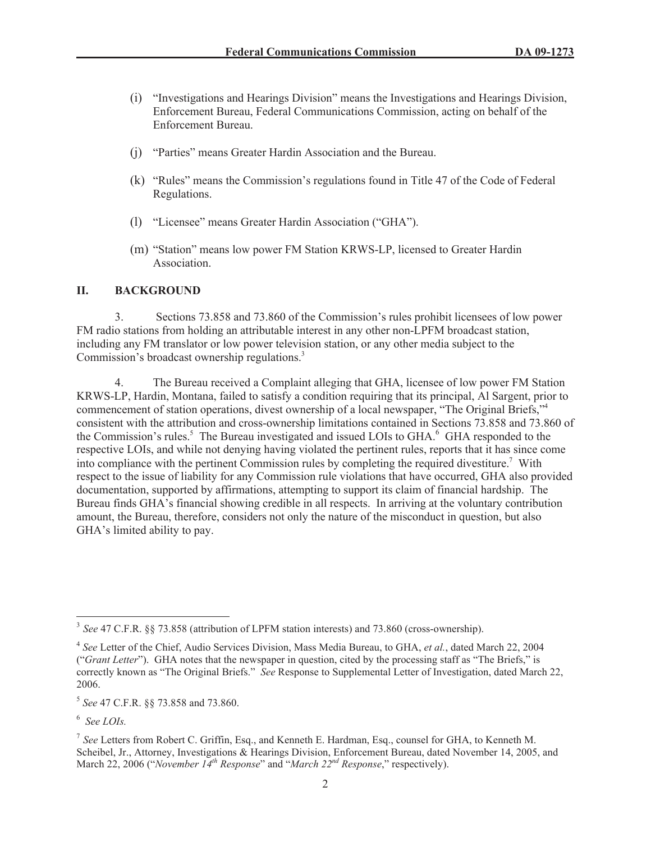- (i) "Investigations and Hearings Division" means the Investigations and Hearings Division, Enforcement Bureau, Federal Communications Commission, acting on behalf of the Enforcement Bureau.
- (j) "Parties" means Greater Hardin Association and the Bureau.
- (k) "Rules" means the Commission's regulations found in Title 47 of the Code of Federal Regulations.
- (l) "Licensee" means Greater Hardin Association ("GHA").
- (m) "Station" means low power FM Station KRWS-LP, licensed to Greater Hardin Association.

#### **II. BACKGROUND**

3. Sections 73.858 and 73.860 of the Commission's rules prohibit licensees of low power FM radio stations from holding an attributable interest in any other non-LPFM broadcast station, including any FM translator or low power television station, or any other media subject to the Commission's broadcast ownership regulations.<sup>3</sup>

4. The Bureau received a Complaint alleging that GHA, licensee of low power FM Station KRWS-LP, Hardin, Montana, failed to satisfy a condition requiring that its principal, Al Sargent, prior to commencement of station operations, divest ownership of a local newspaper, "The Original Briefs,"<sup>4</sup> consistent with the attribution and cross-ownership limitations contained in Sections 73.858 and 73.860 of the Commission's rules.<sup>5</sup> The Bureau investigated and issued LOIs to GHA.<sup>6</sup> GHA responded to the respective LOIs, and while not denying having violated the pertinent rules, reports that it has since come into compliance with the pertinent Commission rules by completing the required divestiture.<sup>7</sup> With respect to the issue of liability for any Commission rule violations that have occurred, GHA also provided documentation, supported by affirmations, attempting to support its claim of financial hardship. The Bureau finds GHA's financial showing credible in all respects. In arriving at the voluntary contribution amount, the Bureau, therefore, considers not only the nature of the misconduct in question, but also GHA's limited ability to pay.

<sup>3</sup> *See* 47 C.F.R. §§ 73.858 (attribution of LPFM station interests) and 73.860 (cross-ownership).

<sup>4</sup> *See* Letter of the Chief, Audio Services Division, Mass Media Bureau, to GHA, *et al.*, dated March 22, 2004 ("*Grant Letter*"). GHA notes that the newspaper in question, cited by the processing staff as "The Briefs," is correctly known as "The Original Briefs." *See* Response to Supplemental Letter of Investigation, dated March 22, 2006.

<sup>5</sup> *See* 47 C.F.R. §§ 73.858 and 73.860.

<sup>6</sup> *See LOIs.*

<sup>7</sup> *See* Letters from Robert C. Griffin, Esq., and Kenneth E. Hardman, Esq., counsel for GHA, to Kenneth M. Scheibel, Jr., Attorney, Investigations & Hearings Division, Enforcement Bureau, dated November 14, 2005, and March 22, 2006 ("*November 14th Response*" and "*March 22nd Response*," respectively).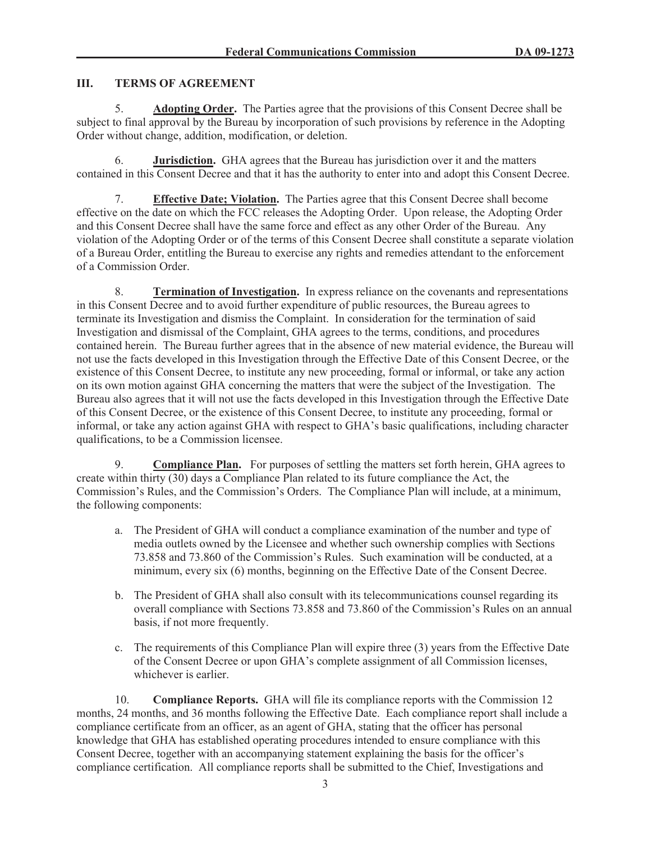### **III. TERMS OF AGREEMENT**

5. **Adopting Order.** The Parties agree that the provisions of this Consent Decree shall be subject to final approval by the Bureau by incorporation of such provisions by reference in the Adopting Order without change, addition, modification, or deletion.

6. **Jurisdiction.** GHA agrees that the Bureau has jurisdiction over it and the matters contained in this Consent Decree and that it has the authority to enter into and adopt this Consent Decree.

7. **Effective Date; Violation.** The Parties agree that this Consent Decree shall become effective on the date on which the FCC releases the Adopting Order. Upon release, the Adopting Order and this Consent Decree shall have the same force and effect as any other Order of the Bureau. Any violation of the Adopting Order or of the terms of this Consent Decree shall constitute a separate violation of a Bureau Order, entitling the Bureau to exercise any rights and remedies attendant to the enforcement of a Commission Order.

8. **Termination of Investigation.** In express reliance on the covenants and representations in this Consent Decree and to avoid further expenditure of public resources, the Bureau agrees to terminate its Investigation and dismiss the Complaint. In consideration for the termination of said Investigation and dismissal of the Complaint, GHA agrees to the terms, conditions, and procedures contained herein. The Bureau further agrees that in the absence of new material evidence, the Bureau will not use the facts developed in this Investigation through the Effective Date of this Consent Decree, or the existence of this Consent Decree, to institute any new proceeding, formal or informal, or take any action on its own motion against GHA concerning the matters that were the subject of the Investigation. The Bureau also agrees that it will not use the facts developed in this Investigation through the Effective Date of this Consent Decree, or the existence of this Consent Decree, to institute any proceeding, formal or informal, or take any action against GHA with respect to GHA's basic qualifications, including character qualifications, to be a Commission licensee.

9. **Compliance Plan.** For purposes of settling the matters set forth herein, GHA agrees to create within thirty (30) days a Compliance Plan related to its future compliance the Act, the Commission's Rules, and the Commission's Orders. The Compliance Plan will include, at a minimum, the following components:

- a. The President of GHA will conduct a compliance examination of the number and type of media outlets owned by the Licensee and whether such ownership complies with Sections 73.858 and 73.860 of the Commission's Rules. Such examination will be conducted, at a minimum, every six (6) months, beginning on the Effective Date of the Consent Decree.
- b. The President of GHA shall also consult with its telecommunications counsel regarding its overall compliance with Sections 73.858 and 73.860 of the Commission's Rules on an annual basis, if not more frequently.
- c. The requirements of this Compliance Plan will expire three (3) years from the Effective Date of the Consent Decree or upon GHA's complete assignment of all Commission licenses, whichever is earlier.

10. **Compliance Reports.** GHA will file its compliance reports with the Commission 12 months, 24 months, and 36 months following the Effective Date. Each compliance report shall include a compliance certificate from an officer, as an agent of GHA, stating that the officer has personal knowledge that GHA has established operating procedures intended to ensure compliance with this Consent Decree, together with an accompanying statement explaining the basis for the officer's compliance certification. All compliance reports shall be submitted to the Chief, Investigations and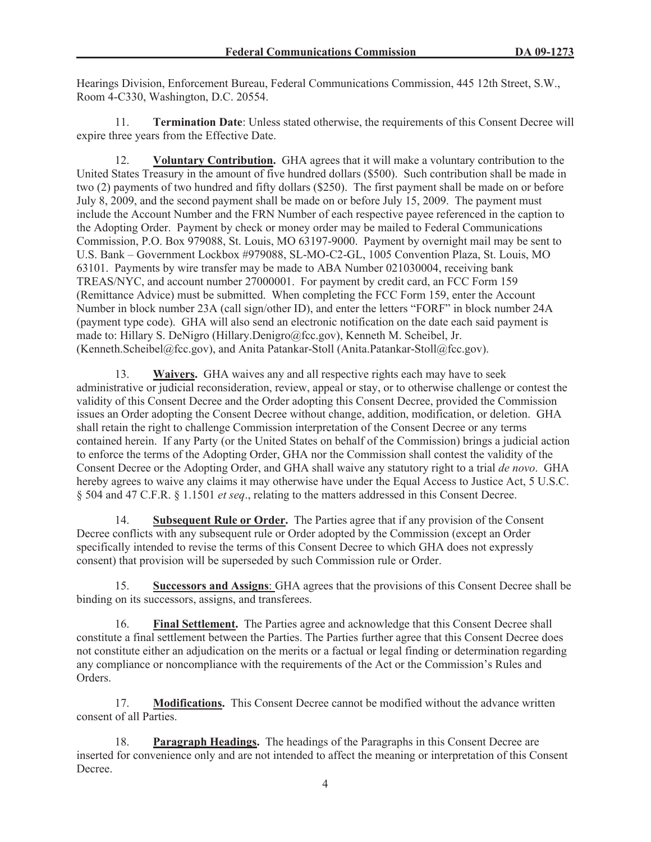Hearings Division, Enforcement Bureau, Federal Communications Commission, 445 12th Street, S.W., Room 4-C330, Washington, D.C. 20554.

11. **Termination Date**: Unless stated otherwise, the requirements of this Consent Decree will expire three years from the Effective Date.

12. **Voluntary Contribution.** GHA agrees that it will make a voluntary contribution to the United States Treasury in the amount of five hundred dollars (\$500). Such contribution shall be made in two (2) payments of two hundred and fifty dollars (\$250). The first payment shall be made on or before July 8, 2009, and the second payment shall be made on or before July 15, 2009. The payment must include the Account Number and the FRN Number of each respective payee referenced in the caption to the Adopting Order. Payment by check or money order may be mailed to Federal Communications Commission, P.O. Box 979088, St. Louis, MO 63197-9000. Payment by overnight mail may be sent to U.S. Bank – Government Lockbox #979088, SL-MO-C2-GL, 1005 Convention Plaza, St. Louis, MO 63101. Payments by wire transfer may be made to ABA Number 021030004, receiving bank TREAS/NYC, and account number 27000001. For payment by credit card, an FCC Form 159 (Remittance Advice) must be submitted. When completing the FCC Form 159, enter the Account Number in block number 23A (call sign/other ID), and enter the letters "FORF" in block number 24A (payment type code). GHA will also send an electronic notification on the date each said payment is made to: Hillary S. DeNigro (Hillary.Denigro@fcc.gov), Kenneth M. Scheibel, Jr. (Kenneth.Scheibel@fcc.gov), and Anita Patankar-Stoll (Anita.Patankar-Stoll@fcc.gov).

13. **Waivers.** GHA waives any and all respective rights each may have to seek administrative or judicial reconsideration, review, appeal or stay, or to otherwise challenge or contest the validity of this Consent Decree and the Order adopting this Consent Decree, provided the Commission issues an Order adopting the Consent Decree without change, addition, modification, or deletion. GHA shall retain the right to challenge Commission interpretation of the Consent Decree or any terms contained herein. If any Party (or the United States on behalf of the Commission) brings a judicial action to enforce the terms of the Adopting Order, GHA nor the Commission shall contest the validity of the Consent Decree or the Adopting Order, and GHA shall waive any statutory right to a trial *de novo*. GHA hereby agrees to waive any claims it may otherwise have under the Equal Access to Justice Act, 5 U.S.C. § 504 and 47 C.F.R. § 1.1501 *et seq*., relating to the matters addressed in this Consent Decree.

14. **Subsequent Rule or Order.** The Parties agree that if any provision of the Consent Decree conflicts with any subsequent rule or Order adopted by the Commission (except an Order specifically intended to revise the terms of this Consent Decree to which GHA does not expressly consent) that provision will be superseded by such Commission rule or Order.

15. **Successors and Assigns**: GHA agrees that the provisions of this Consent Decree shall be binding on its successors, assigns, and transferees.

16. **Final Settlement.** The Parties agree and acknowledge that this Consent Decree shall constitute a final settlement between the Parties. The Parties further agree that this Consent Decree does not constitute either an adjudication on the merits or a factual or legal finding or determination regarding any compliance or noncompliance with the requirements of the Act or the Commission's Rules and Orders.

17. **Modifications.** This Consent Decree cannot be modified without the advance written consent of all Parties.

18. **Paragraph Headings.** The headings of the Paragraphs in this Consent Decree are inserted for convenience only and are not intended to affect the meaning or interpretation of this Consent Decree.